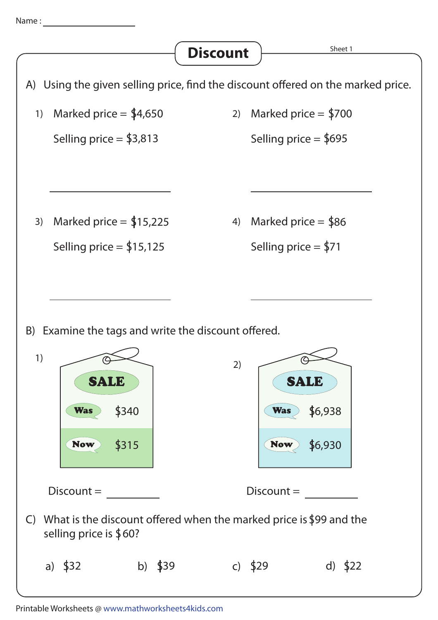

A) Using the given selling price, find the discount offered on the marked price. Sheet 1 **Discount** 1) Marked price =  $$4,650$ Selling price =  $$3,813$ 2) Marked price  $=$  \$700 Selling price = \$695 3) Marked price  $=$  \$15,225 Selling price  $=$  \$15,125 4) Marked price  $=$  \$86 Selling price  $=$  \$71 C) What is the discount offered when the marked price is \$99 and the S selling price is 60? a) \$32 b) \$39 c) \$29 d) \$22 B) Examine the tags and write the discount offered. 1) Discount = \$315 S340 SALE **Was** Now 2) Discount = S6,930  $Was$  \$6,938 Now SALE